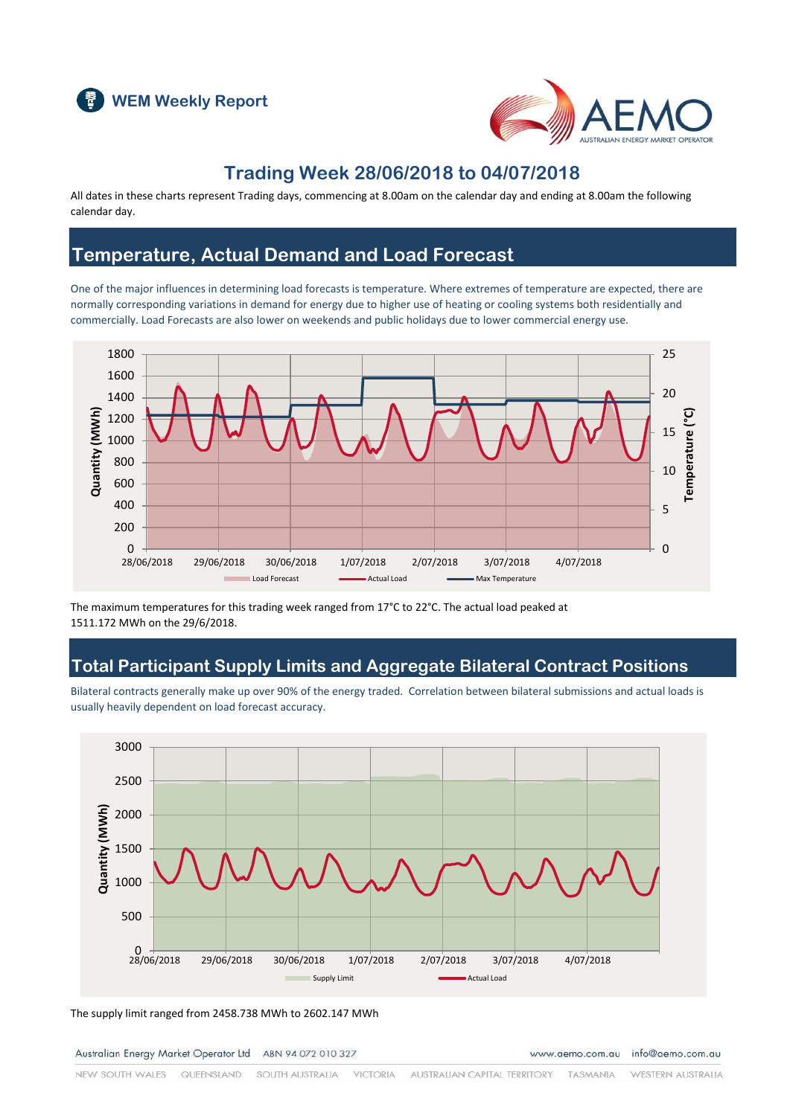



## **Trading Week 28/06/2018 to 04/07/2018**

All dates in these charts represent Trading days, commencing at 8.00am on the calendar day and ending at 8.00am the following calendar day.

## **Temperature, Actual Demand and Load Forecast**

One of the major influences in determining load forecasts is temperature. Where extremes of temperature are expected, there are normally corresponding variations in demand for energy due to higher use of heating or cooling systems both residentially and commercially. Load Forecasts are also lower on weekends and public holidays due to lower commercial energy use.



The maximum temperatures for this trading week ranged from 17°C to 22°C. The actual load peaked at 1511.172 MWh on the 29/6/2018.

## **Total Participant Supply Limits and Aggregate Bilateral Contract Positions**

Bilateral contracts generally make up over 90% of the energy traded. Correlation between bilateral submissions and actual loads is usually heavily dependent on load forecast accuracy.



The supply limit ranged from 2458.738 MWh to 2602.147 MWh

Australian Energy Market Operator Ltd ABN 94 072 010 327

www.aemo.com.au info@aemo.com.au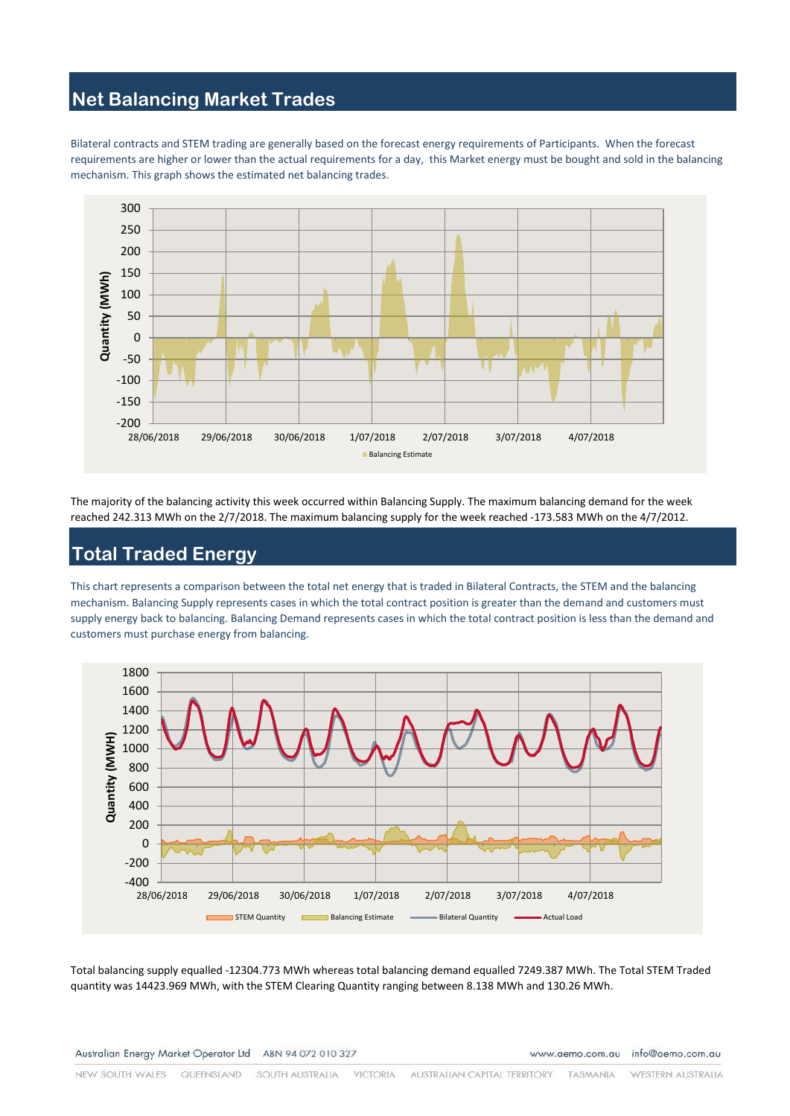### **Net Balancing Market Trades**

Bilateral contracts and STEM trading are generally based on the forecast energy requirements of Participants. When the forecast requirements are higher or lower than the actual requirements for a day, this Market energy must be bought and sold in the balancing mechanism. This graph shows the estimated net balancing trades.



The majority of the balancing activity this week occurred within Balancing Supply. The maximum balancing demand for the week reached 242.313 MWh on the 2/7/2018. The maximum balancing supply for the week reached -173.583 MWh on the 4/7/2012.

# **Total Traded Energy**

This chart represents a comparison between the total net energy that is traded in Bilateral Contracts, the STEM and the balancing mechanism. Balancing Supply represents cases in which the total contract position is greater than the demand and customers must supply energy back to balancing. Balancing Demand represents cases in which the total contract position is less than the demand and customers must purchase energy from balancing.



Total balancing supply equalled -12304.773 MWh whereas total balancing demand equalled 7249.387 MWh. The Total STEM Traded quantity was 14423.969 MWh, with the STEM Clearing Quantity ranging between 8.138 MWh and 130.26 MWh.

Australian Energy Market Operator Ltd ABN 94 072 010 327

www.aemo.com.au info@aemo.com.au